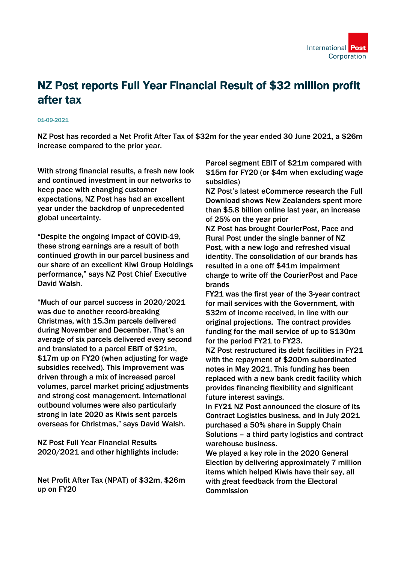

## NZ Post reports Full Year Financial Result of \$32 million profit after tax

## 01-09-2021

NZ Post has recorded a Net Profit After Tax of \$32m for the year ended 30 June 2021, a \$26m increase compared to the prior year.

With strong financial results, a fresh new look and continued investment in our networks to keep pace with changing customer expectations, NZ Post has had an excellent year under the backdrop of unprecedented global uncertainty.

"Despite the ongoing impact of COVID-19, these strong earnings are a result of both continued growth in our parcel business and our share of an excellent Kiwi Group Holdings performance," says NZ Post Chief Executive David Walsh.

"Much of our parcel success in 2020/2021 was due to another record-breaking Christmas, with 15.3m parcels delivered during November and December. That's an average of six parcels delivered every second and translated to a parcel EBIT of \$21m, \$17m up on FY20 (when adjusting for wage subsidies received). This improvement was driven through a mix of increased parcel volumes, parcel market pricing adjustments and strong cost management. International outbound volumes were also particularly strong in late 2020 as Kiwis sent parcels overseas for Christmas," says David Walsh.

NZ Post Full Year Financial Results 2020/2021 and other highlights include:

Net Profit After Tax (NPAT) of \$32m, \$26m up on FY20

Parcel segment EBIT of \$21m compared with \$15m for FY20 (or \$4m when excluding wage subsidies)

NZ Post's latest eCommerce research the Full Download shows New Zealanders spent more than \$5.8 billion online last year, an increase of 25% on the year prior

NZ Post has brought CourierPost, Pace and Rural Post under the single banner of NZ Post, with a new logo and refreshed visual identity. The consolidation of our brands has resulted in a one off \$41m impairment charge to write off the CourierPost and Pace brands

FY21 was the first year of the 3-year contract for mail services with the Government, with \$32m of income received, in line with our original projections. The contract provides funding for the mail service of up to \$130m for the period FY21 to FY23.

NZ Post restructured its debt facilities in FY21 with the repayment of \$200m subordinated notes in May 2021. This funding has been replaced with a new bank credit facility which provides financing flexibility and significant future interest savings.

In FY21 NZ Post announced the closure of its Contract Logistics business, and in July 2021 purchased a 50% share in Supply Chain Solutions – a third party logistics and contract warehouse business.

We played a key role in the 2020 General Election by delivering approximately 7 million items which helped Kiwis have their say, all with great feedback from the Electoral **Commission**